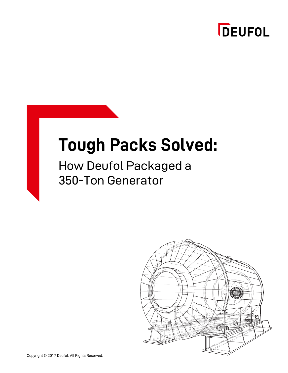

# **Tough Packs Solved:**

#### How Deufol Packaged a 350-Ton Generator

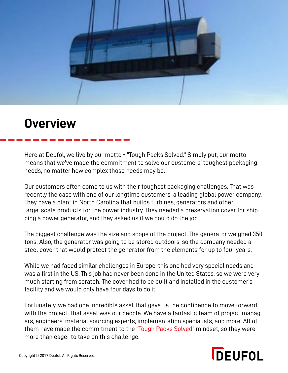

#### **Overview**

Here at Deufol, we live by our motto - "Tough Packs Solved." Simply put, our motto means that we've made the commitment to solve our customers' toughest packaging needs, no matter how complex those needs may be.

Our customers often come to us with their toughest packaging challenges. That was recently the case with one of our longtime customers, a leading global power company. They have a plant in North Carolina that builds turbines, generators and other large-scale products for the power industry. They needed a preservation cover for shipping a power generator, and they asked us if we could do the job.

The biggest challenge was the size and scope of the project. The generator weighed 350 tons. Also, the generator was going to be stored outdoors, so the company needed a steel cover that would protect the generator from the elements for up to four years.

While we had faced similar challenges in Europe, this one had very special needs and was a first in the US. This job had never been done in the United States, so we were very much starting from scratch. The cover had to be built and installed in the customer's facility and we would only have four days to do it.

Fortunately, we had one incredible asset that gave us the confidence to move forward with the project. That asset was our people. We have a fantastic team of project managers, engineers, material sourcing experts, implementation specialists, and more. All of them have made the commitment to the ["Tough Packs Solved"](https://deufol-us.com/tough-packs-solved) mindset, so they were more than eager to take on this challenge.

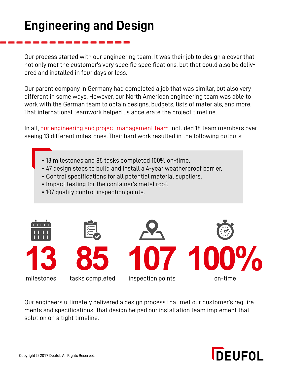### **Engineering and Design**

Our process started with our engineering team. It was their job to design a cover that not only met the customer's very specific specifications, but that could also be delivered and installed in four days or less.

Our parent company in Germany had completed a job that was similar, but also very different in some ways. However, our North American engineering team was able to work with the German team to obtain designs, budgets, lists of materials, and more. That international teamwork helped us accelerate the project timeline.

In all, [our engineering and project management team](http://blog.deufol-us.com/3-reasons-why-you-should-design-your-packaging-with-crate-engineering-software) included 18 team members overseeing 13 different milestones. Their hard work resulted in the following outputs:

- 13 milestones and 85 tasks completed 100% on-time.
- 47 design steps to build and install a 4-year weatherproof barrier.
- Control specifications for all potential material suppliers.
- Impact testing for the container's metal roof.
- 107 quality control inspection points.



Our engineers ultimately delivered a design process that met our customer's requirements and specifications. That design helped our installation team implement that solution on a tight timeline.

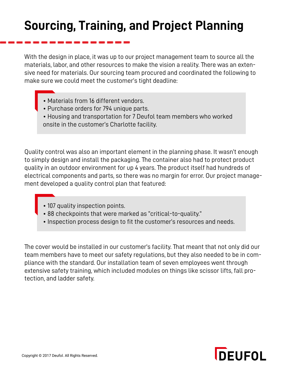## **Sourcing, Training, and Project Planning**

With the design in place, it was up to our project management team to source all the materials, labor, and other resources to make the vision a reality. There was an extensive need for materials. Our sourcing team procured and coordinated the following to make sure we could meet the customer's tight deadline:

- Materials from 16 different vendors.
- Purchase orders for 794 unique parts.
- Housing and transportation for 7 Deufol team members who worked onsite in the customer's Charlotte facility.

Quality control was also an important element in the planning phase. It wasn't enough to simply design and install the packaging. The container also had to protect product quality in an outdoor environment for up 4 years. The product itself had hundreds of electrical components and parts, so there was no margin for error. Our project management developed a quality control plan that featured:

- 107 quality inspection points.
- 88 checkpoints that were marked as "critical-to-quality."
- Inspection process design to fit the customer's resources and needs.

The cover would be installed in our customer's facility. That meant that not only did our team members have to meet our safety regulations, but they also needed to be in compliance with the standard. Our installation team of seven employees went through extensive safety training, which included modules on things like scissor lifts, fall protection, and ladder safety.